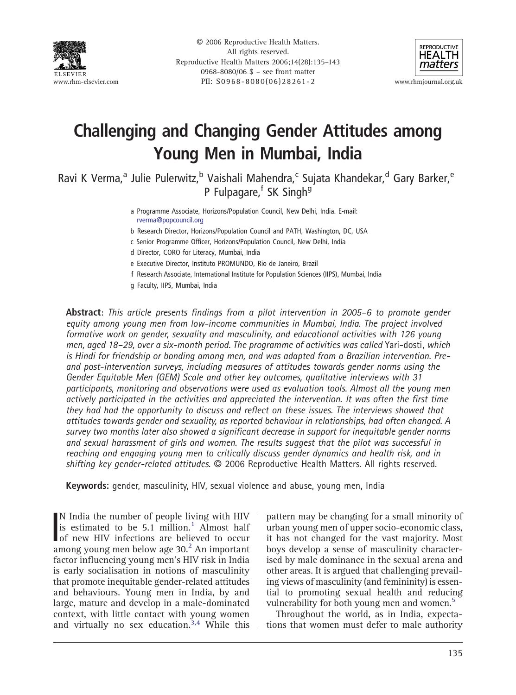



# Challenging and Changing Gender Attitudes among Young Men in Mumbai, India

Ravi K Verma,<sup>a</sup> Julie Pulerwitz,<sup>b</sup> Vaishali Mahendra,<sup>c</sup> Sujata Khandekar,<sup>d</sup> Gary Barker,<sup>e</sup> P Fulpagare,<sup>f</sup> SK Singh<sup>g</sup>

- a Programme Associate, Horizons/Population Council, New Delhi, India. E-mail: [rverma@popcouncil.org](mailto:rverma@popcouncil.org)
- b Research Director, Horizons/Population Council and PATH, Washington, DC, USA
- c Senior Programme Officer, Horizons/Population Council, New Delhi, India
- d Director, CORO for Literacy, Mumbai, India
- e Executive Director, Instituto PROMUNDO, Rio de Janeiro, Brazil
- f Research Associate, International Institute for Population Sciences (IIPS), Mumbai, India
- g Faculty, IIPS, Mumbai, India

Abstract: This article presents findings from a pilot intervention in 2005–6 to promote gender equity among young men from low-income communities in Mumbai, India. The project involved formative work on gender, sexuality and masculinity, and educational activities with 126 young men, aged 18–29, over a six-month period. The programme of activities was called Yari-dosti, which is Hindi for friendship or bonding among men, and was adapted from a Brazilian intervention. Preand post-intervention surveys, including measures of attitudes towards gender norms using the Gender Equitable Men (GEM) Scale and other key outcomes, qualitative interviews with 31 participants, monitoring and observations were used as evaluation tools. Almost all the young men actively participated in the activities and appreciated the intervention. It was often the first time they had had the opportunity to discuss and reflect on these issues. The interviews showed that attitudes towards gender and sexuality, as reported behaviour in relationships, had often changed. A survey two months later also showed a significant decrease in support for inequitable gender norms and sexual harassment of girls and women. The results suggest that the pilot was successful in reaching and engaging young men to critically discuss gender dynamics and health risk, and in shifting key gender-related attitudes.  $\odot$  2006 Reproductive Health Matters. All rights reserved.

Keywords: gender, masculinity, HIV, sexual violence and abuse, young men, India

N India the number of people living with HIV is estimated to be 5.1 million.<sup>1</sup> Almost half of new HIV infections are believed to occur among young men below age  $30.<sup>2</sup>$  $30.<sup>2</sup>$  $30.<sup>2</sup>$  An important N India the number of people living with HIV is estimated to be  $5.1$  $5.1$  million.<sup>1</sup> Almost half of new HIV infections are believed to occur factor influencing young men's HIV risk in India is early socialisation in notions of masculinity that promote inequitable gender-related attitudes and behaviours. Young men in India, by and large, mature and develop in a male-dominated context, with little contact with young women and virtually no sex education.<sup>[3,4](#page-7-0)</sup> While this pattern may be changing for a small minority of urban young men of upper socio-economic class, it has not changed for the vast majority. Most boys develop a sense of masculinity characterised by male dominance in the sexual arena and other areas. It is argued that challenging prevailing views of masculinity (and femininity) is essential to promoting sexual health and reducing vulnerability for both young men and women.<sup>5</sup>

Throughout the world, as in India, expectations that women must defer to male authority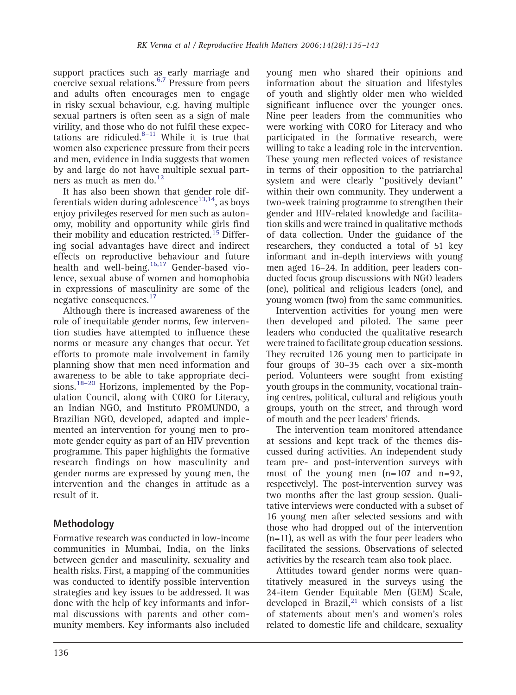support practices such as early marriage and coercive sexual relations.<sup>[6,7](#page-7-0)</sup> Pressure from peers and adults often encourages men to engage in risky sexual behaviour, e.g. having multiple sexual partners is often seen as a sign of male virility, and those who do not fulfil these expectations are ridiculed. $8-11$  While it is true that women also experience pressure from their peers and men, evidence in India suggests that women by and large do not have multiple sexual part-ners as much as men do.<sup>[12](#page-7-0)</sup>

It has also been shown that gender role differentials widen during adolescence<sup>13,14</sup>, as boys enjoy privileges reserved for men such as autonomy, mobility and opportunity while girls find their mobility and education restricted.<sup>[15](#page-8-0)</sup> Differing social advantages have direct and indirect effects on reproductive behaviour and future health and well-being.<sup>16,17</sup> Gender-based violence, sexual abuse of women and homophobia in expressions of masculinity are some of the negative consequences.<sup>[17](#page-8-0)</sup>

Although there is increased awareness of the role of inequitable gender norms, few intervention studies have attempted to influence these norms or measure any changes that occur. Yet efforts to promote male involvement in family planning show that men need information and awareness to be able to take appropriate decisions.[18–20](#page-8-0) Horizons, implemented by the Population Council, along with CORO for Literacy, an Indian NGO, and Instituto PROMUNDO, a Brazilian NGO, developed, adapted and implemented an intervention for young men to promote gender equity as part of an HIV prevention programme. This paper highlights the formative research findings on how masculinity and gender norms are expressed by young men, the intervention and the changes in attitude as a result of it.

# Methodology

Formative research was conducted in low-income communities in Mumbai, India, on the links between gender and masculinity, sexuality and health risks. First, a mapping of the communities was conducted to identify possible intervention strategies and key issues to be addressed. It was done with the help of key informants and informal discussions with parents and other community members. Key informants also included

young men who shared their opinions and information about the situation and lifestyles of youth and slightly older men who wielded significant influence over the younger ones. Nine peer leaders from the communities who were working with CORO for Literacy and who participated in the formative research, were willing to take a leading role in the intervention. These young men reflected voices of resistance in terms of their opposition to the patriarchal system and were clearly ''positively deviant'' within their own community. They underwent a two-week training programme to strengthen their gender and HIV-related knowledge and facilitation skills and were trained in qualitative methods of data collection. Under the guidance of the researchers, they conducted a total of 51 key informant and in-depth interviews with young men aged 16–24. In addition, peer leaders conducted focus group discussions with NGO leaders (one), political and religious leaders (one), and young women (two) from the same communities.

Intervention activities for young men were then developed and piloted. The same peer leaders who conducted the qualitative research were trained to facilitate group education sessions. They recruited 126 young men to participate in four groups of 30–35 each over a six-month period. Volunteers were sought from existing youth groups in the community, vocational training centres, political, cultural and religious youth groups, youth on the street, and through word of mouth and the peer leaders' friends.

The intervention team monitored attendance at sessions and kept track of the themes discussed during activities. An independent study team pre- and post-intervention surveys with most of the young men (n=107 and n=92, respectively). The post-intervention survey was two months after the last group session. Qualitative interviews were conducted with a subset of 16 young men after selected sessions and with those who had dropped out of the intervention (n=11), as well as with the four peer leaders who facilitated the sessions. Observations of selected activities by the research team also took place.

Attitudes toward gender norms were quantitatively measured in the surveys using the 24-item Gender Equitable Men (GEM) Scale, developed in Brazil, $21$  which consists of a list of statements about men's and women's roles related to domestic life and childcare, sexuality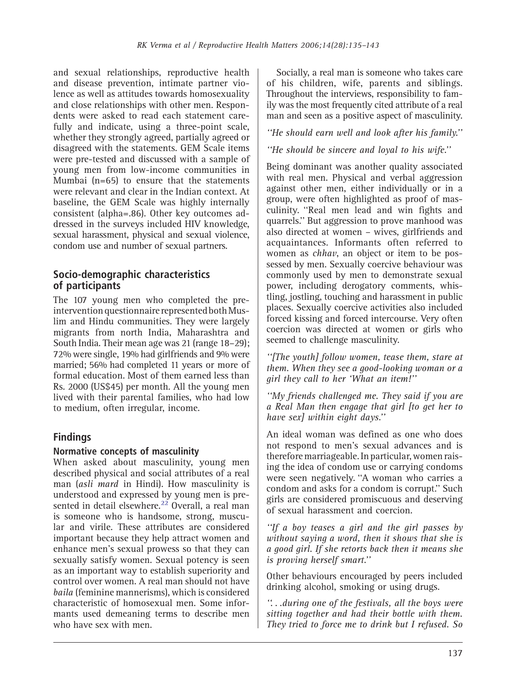and sexual relationships, reproductive health and disease prevention, intimate partner violence as well as attitudes towards homosexuality and close relationships with other men. Respondents were asked to read each statement carefully and indicate, using a three-point scale, whether they strongly agreed, partially agreed or disagreed with the statements. GEM Scale items were pre-tested and discussed with a sample of young men from low-income communities in Mumbai (n=65) to ensure that the statements were relevant and clear in the Indian context. At baseline, the GEM Scale was highly internally consistent (alpha=.86). Other key outcomes addressed in the surveys included HIV knowledge, sexual harassment, physical and sexual violence, condom use and number of sexual partners.

## Socio-demographic characteristics of participants

The 107 young men who completed the preintervention questionnaire represented both Muslim and Hindu communities. They were largely migrants from north India, Maharashtra and South India. Their mean age was 21 (range 18–29); 72% were single, 19% had girlfriends and 9% were married; 56% had completed 11 years or more of formal education. Most of them earned less than Rs. 2000 (US\$45) per month. All the young men lived with their parental families, who had low to medium, often irregular, income.

# **Findings**

## Normative concepts of masculinity

When asked about masculinity, young men described physical and social attributes of a real man (asli mard in Hindi). How masculinity is understood and expressed by young men is pre-sented in detail elsewhere.<sup>[22](#page-8-0)</sup> Overall, a real man is someone who is handsome, strong, muscular and virile. These attributes are considered important because they help attract women and enhance men's sexual prowess so that they can sexually satisfy women. Sexual potency is seen as an important way to establish superiority and control over women. A real man should not have baila (feminine mannerisms), which is considered characteristic of homosexual men. Some informants used demeaning terms to describe men who have sex with men.

Socially, a real man is someone who takes care of his children, wife, parents and siblings. Throughout the interviews, responsibility to family was the most frequently cited attribute of a real man and seen as a positive aspect of masculinity.

''He should earn well and look after his family.''

''He should be sincere and loyal to his wife.''

Being dominant was another quality associated with real men. Physical and verbal aggression against other men, either individually or in a group, were often highlighted as proof of masculinity. ''Real men lead and win fights and quarrels.'' But aggression to prove manhood was also directed at women – wives, girlfriends and acquaintances. Informants often referred to women as *chhav*, an object or item to be possessed by men. Sexually coercive behaviour was commonly used by men to demonstrate sexual power, including derogatory comments, whistling, jostling, touching and harassment in public places. Sexually coercive activities also included forced kissing and forced intercourse. Very often coercion was directed at women or girls who seemed to challenge masculinity.

''[The youth] follow women, tease them, stare at them. When they see a good-looking woman or a girl they call to her 'What an item!''

''My friends challenged me. They said if you are a Real Man then engage that girl [to get her to have sex] within eight days."

An ideal woman was defined as one who does not respond to men's sexual advances and is therefore marriageable.In particular, women raising the idea of condom use or carrying condoms were seen negatively. ''A woman who carries a condom and asks for a condom is corrupt.'' Such girls are considered promiscuous and deserving of sexual harassment and coercion.

''If a boy teases a girl and the girl passes by without saying a word, then it shows that she is a good girl. If she retorts back then it means she is proving herself smart.''

Other behaviours encouraged by peers included drinking alcohol, smoking or using drugs.

''. . .during one of the festivals, all the boys were sitting together and had their bottle with them. They tried to force me to drink but I refused. So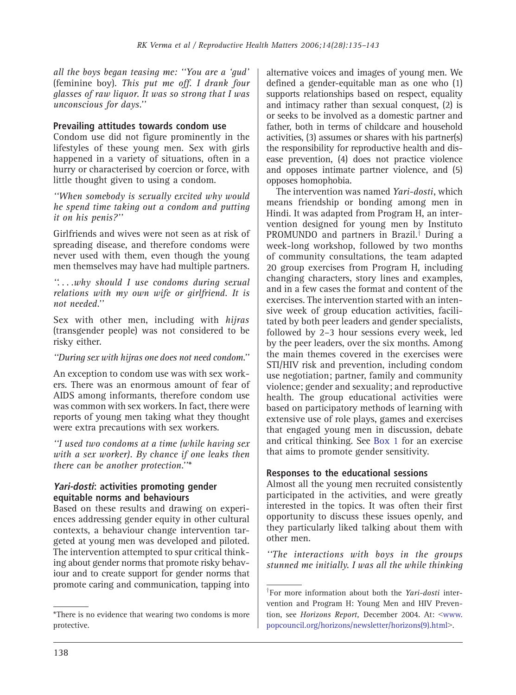all the boys began teasing me: ''You are a 'gud' (feminine boy). This put me off. I drank four glasses of raw liquor. It was so strong that I was unconscious for days.''

## Prevailing attitudes towards condom use

Condom use did not figure prominently in the lifestyles of these young men. Sex with girls happened in a variety of situations, often in a hurry or characterised by coercion or force, with little thought given to using a condom.

''When somebody is sexually excited why would he spend time taking out a condom and putting it on his penis?''

Girlfriends and wives were not seen as at risk of spreading disease, and therefore condoms were never used with them, even though the young men themselves may have had multiple partners.

''. . . .why should I use condoms during sexual relations with my own wife or girlfriend. It is not needed.''

Sex with other men, including with hijras (transgender people) was not considered to be risky either.

#### ''During sex with hijras one does not need condom.''

An exception to condom use was with sex workers. There was an enormous amount of fear of AIDS among informants, therefore condom use was common with sex workers. In fact, there were reports of young men taking what they thought were extra precautions with sex workers.

''I used two condoms at a time (while having sex with a sex worker). By chance if one leaks then there can be another protection.''\*

## Yari-dosti: activities promoting gender equitable norms and behaviours

Based on these results and drawing on experiences addressing gender equity in other cultural contexts, a behaviour change intervention targeted at young men was developed and piloted. The intervention attempted to spur critical thinking about gender norms that promote risky behaviour and to create support for gender norms that promote caring and communication, tapping into alternative voices and images of young men. We defined a gender-equitable man as one who (1) supports relationships based on respect, equality and intimacy rather than sexual conquest, (2) is or seeks to be involved as a domestic partner and father, both in terms of childcare and household activities, (3) assumes or shares with his partner(s) the responsibility for reproductive health and disease prevention, (4) does not practice violence and opposes intimate partner violence, and (5) opposes homophobia.

The intervention was named Yari-dosti, which means friendship or bonding among men in Hindi. It was adapted from Program H, an intervention designed for young men by Instituto PROMUNDO and partners in Brazil.<sup>†</sup> During a week-long workshop, followed by two months of community consultations, the team adapted 20 group exercises from Program H, including changing characters, story lines and examples, and in a few cases the format and content of the exercises. The intervention started with an intensive week of group education activities, facilitated by both peer leaders and gender specialists, followed by 2–3 hour sessions every week, led by the peer leaders, over the six months. Among the main themes covered in the exercises were STI/HIV risk and prevention, including condom use negotiation; partner, family and community violence; gender and sexuality; and reproductive health. The group educational activities were based on participatory methods of learning with extensive use of role plays, games and exercises that engaged young men in discussion, debate and critical thinking. See [Box 1](#page-4-0) for an exercise that aims to promote gender sensitivity.

## Responses to the educational sessions

Almost all the young men recruited consistently participated in the activities, and were greatly interested in the topics. It was often their first opportunity to discuss these issues openly, and they particularly liked talking about them with other men.

''The interactions with boys in the groups stunned me initially. I was all the while thinking

<sup>\*</sup>There is no evidence that wearing two condoms is more protective.

 $\overline{P}$  For more information about both the Yari-dosti intervention and Program H: Young Men and HIV Prevention, see Horizons Report, December 2004. At: <[www.](http://www.popcouncil.org/horizons/newsletter/horizons(9).html) [popcouncil.org/horizons/newsletter/horizons\(9\).html](http://www.popcouncil.org/horizons/newsletter/horizons(9).html)>.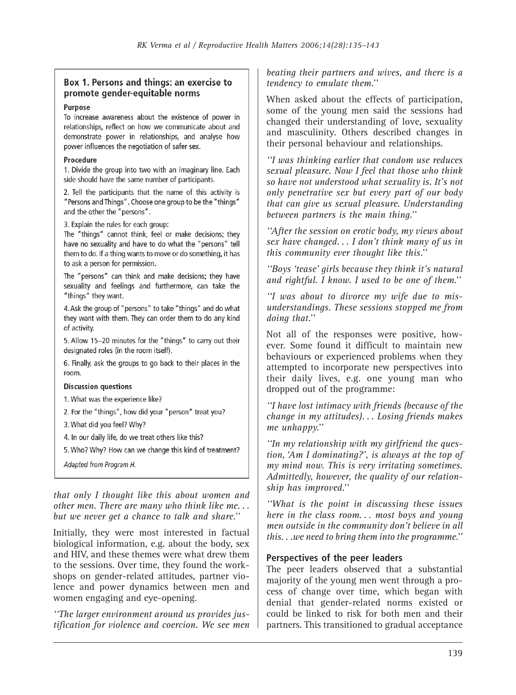## <span id="page-4-0"></span>Box 1. Persons and things: an exercise to promote gender-equitable norms

#### **Purpose**

To increase awareness about the existence of power in relationships, reflect on how we communicate about and demonstrate power in relationships, and analyse how power influences the negotiation of safer sex.

#### Procedure

1. Divide the group into two with an imaginary line. Each side should have the same number of participants.

2. Tell the participants that the name of this activity is "Persons and Things". Choose one group to be the "things" and the other the "persons".

3. Explain the rules for each group:

The "things" cannot think, feel or make decisions; they have no sexuality and have to do what the "persons" tell them to do. If a thing wants to move or do something, it has to ask a person for permission.

The "persons" can think and make decisions: they have sexuality and feelings and furthermore, can take the "things" they want.

4. Ask the group of "persons" to take "things" and do what they want with them. They can order them to do any kind of activity.

5. Allow 15-20 minutes for the "things" to carry out their designated roles (in the room itself).

6. Finally, ask the groups to go back to their places in the room.

#### **Discussion questions**

1. What was the experience like?

2. For the "things", how did your "person" treat you?

3. What did you feel? Why?

4. In our daily life, do we treat others like this?

5. Who? Why? How can we change this kind of treatment?

Adapted from Program H.

that only I thought like this about women and other men. There are many who think like me. . . but we never get a chance to talk and share.''

Initially, they were most interested in factual biological information, e.g. about the body, sex and HIV, and these themes were what drew them to the sessions. Over time, they found the workshops on gender-related attitudes, partner violence and power dynamics between men and women engaging and eye-opening.

''The larger environment around us provides justification for violence and coercion. We see men beating their partners and wives, and there is a tendency to emulate them.''

When asked about the effects of participation, some of the young men said the sessions had changed their understanding of love, sexuality and masculinity. Others described changes in their personal behaviour and relationships.

''I was thinking earlier that condom use reduces sexual pleasure. Now I feel that those who think so have not understood what sexuality is. It's not only penetrative sex but every part of our body that can give us sexual pleasure. Understanding between partners is the main thing.''

''After the session on erotic body, my views about sex have changed. . . I don't think many of us in this community ever thought like this.''

''Boys 'tease' girls because they think it's natural and rightful. I know. I used to be one of them.''

''I was about to divorce my wife due to misunderstandings. These sessions stopped me from doing that.''

Not all of the responses were positive, however. Some found it difficult to maintain new behaviours or experienced problems when they attempted to incorporate new perspectives into their daily lives, e.g. one young man who dropped out of the programme:

''I have lost intimacy with friends (because of the change in my attitudes). . . Losing friends makes me unhappy.''

''In my relationship with my girlfriend the question, 'Am I dominating?', is always at the top of my mind now. This is very irritating sometimes. Admittedly, however, the quality of our relationship has improved.''

''What is the point in discussing these issues here in the class room... most boys and young men outside in the community don't believe in all this. . .we need to bring them into the programme.''

## Perspectives of the peer leaders

The peer leaders observed that a substantial majority of the young men went through a process of change over time, which began with denial that gender-related norms existed or could be linked to risk for both men and their partners. This transitioned to gradual acceptance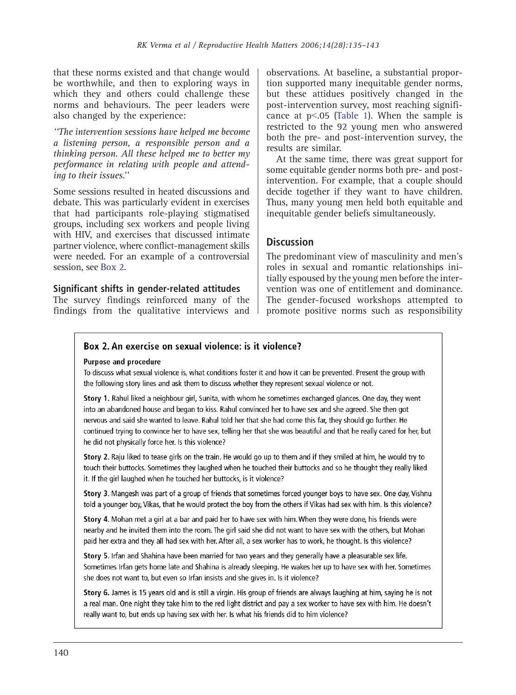that these norms existed and that change would be worthwhile, and then to exploring ways in which they and others could challenge these norms and behaviours. The peer leaders were also changed by the experience:

''The intervention sessions have helped me become a listening person, a responsible person and a thinking person. All these helped me to better my performance in relating with people and attending to their issues.''

Some sessions resulted in heated discussions and debate. This was particularly evident in exercises that had participants role-playing stigmatised groups, including sex workers and people living with HIV, and exercises that discussed intimate partner violence, where conflict-management skills were needed. For an example of a controversial session, see Box 2.

#### Significant shifts in gender-related attitudes

The survey findings reinforced many of the findings from the qualitative interviews and

observations. At baseline, a substantial proportion supported many inequitable gender norms, but these attidues positively changed in the post-intervention survey, most reaching significance at  $p<0.05$  [\(Table 1\)](#page-6-0). When the sample is restricted to the 92 young men who answered both the pre- and post-intervention survey, the results are similar.

At the same time, there was great support for some equitable gender norms both pre- and postintervention. For example, that a couple should decide together if they want to have children. Thus, many young men held both equitable and inequitable gender beliefs simultaneously.

## **Discussion**

The predominant view of masculinity and men's roles in sexual and romantic relationships initially espoused by the young men before the intervention was one of entitlement and dominance. The gender-focused workshops attempted to promote positive norms such as responsibility

## Box 2. An exercise on sexual violence: is it violence?

#### **Purpose and procedure**

To discuss what sexual violence is, what conditions foster it and how it can be prevented. Present the group with the following story lines and ask them to discuss whether they represent sexual violence or not.

Story 1. Rahul liked a neighbour girl. Sunita, with whom he sometimes exchanged glances. One day, they went into an abandoned house and began to kiss. Rahul convinced her to have sex and she agreed. She then got nervous and said she wanted to leave. Rahul told her that she had come this far, they should go further. He continued trying to convince her to have sex, telling her that she was beautiful and that he really cared for her, but he did not physically force her. Is this violence?

Story 2. Raiu liked to tease girls on the train. He would go up to them and if they smiled at him, he would try to touch their buttocks. Sometimes they laughed when he touched their buttocks and so he thought they really liked it. If the girl laughed when he touched her buttocks, is it violence?

Story 3. Mangesh was part of a group of friends that sometimes forced younger boys to have sex. One day, Vishnu told a vounger boy. Vikas, that he would protect the boy from the others if Vikas had sex with him. Is this violence?

Story 4. Mohan met a girl at a bar and paid her to have sex with him. When they were done, his friends were nearby and he invited them into the room. The girl said she did not want to have sex with the others, but Mohan paid her extra and they all had sex with her. After all, a sex worker has to work, he thought, Is this violence?

Story 5. Irfan and Shahina have been married for two years and they generally have a pleasurable sex life. Sometimes Irfan gets home late and Shahina is already sleeping. He wakes her up to have sex with her. Sometimes she does not want to, but even so Irfan insists and she gives in. Is it violence?

Story 6. James is 15 years old and is still a virgin. His group of friends are always laughing at him, saying he is not a real man. One night they take him to the red light district and pay a sex worker to have sex with him. He doesn't really want to, but ends up having sex with her. Is what his friends did to him violence?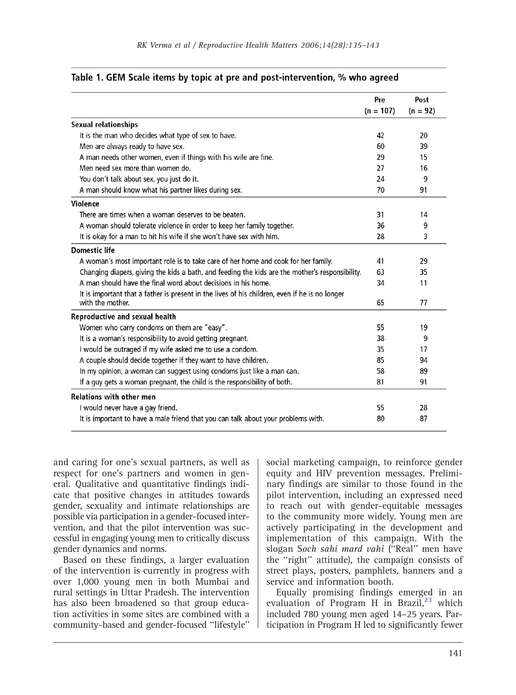|                                                                                                                    | Pre         | Post       |
|--------------------------------------------------------------------------------------------------------------------|-------------|------------|
|                                                                                                                    | $(n = 107)$ | $(n = 92)$ |
| <b>Sexual relationships</b>                                                                                        |             |            |
| It is the man who decides what type of sex to have.                                                                | 42          | 20         |
| Men are always ready to have sex.                                                                                  | 60          | 39         |
| A man needs other women, even if things with his wife are fine.                                                    | 29          | 15         |
| Men need sex more than women do.                                                                                   | 27          | 16         |
| You don't talk about sex, you just do it.                                                                          | 24          | 9          |
| A man should know what his partner likes during sex.                                                               | 70          | 91         |
| Violence                                                                                                           |             |            |
| There are times when a woman deserves to be beaten.                                                                | 31          | 14         |
| A woman should tolerate violence in order to keep her family together.                                             | 36          | 9          |
| It is okay for a man to hit his wife if she won't have sex with him.                                               | 28          | 3          |
| <b>Domestic life</b>                                                                                               |             |            |
| A woman's most important role is to take care of her home and cook for her family.                                 | 41          | 29         |
| Changing diapers, giving the kids a bath, and feeding the kids are the mother's responsibility.                    | 63          | 35         |
| A man should have the final word about decisions in his home.                                                      | 34          | 11         |
| It is important that a father is present in the lives of his children, even if he is no longer<br>with the mother. | 65          | 77         |
| Reproductive and sexual health                                                                                     |             |            |
| Women who carry condoms on them are "easy".                                                                        | 55          | 19         |
| It is a woman's responsibility to avoid getting pregnant.                                                          | 38          | 9          |
| I would be outraged if my wife asked me to use a condom.                                                           | 35          | 17         |
| A couple should decide together if they want to have children.                                                     | 85          | 94         |
| In my opinion, a woman can suggest using condoms just like a man can.                                              | 58          | 89         |
| If a guy gets a woman pregnant, the child is the responsibility of both.                                           | 81          | 91         |
| <b>Relations with other men</b>                                                                                    |             |            |
| I would never have a gay friend.                                                                                   | 55          | 28         |
| It is important to have a male friend that you can talk about your problems with.                                  | 80          | 87         |

#### <span id="page-6-0"></span>Table 1. GEM Scale items by topic at pre and post-intervention. % who agreed

and caring for one's sexual partners, as well as respect for one's partners and women in general. Qualitative and quantitative findings indicate that positive changes in attitudes towards gender, sexuality and intimate relationships are possible via participation in a gender-focused intervention, and that the pilot intervention was successful in engaging young men to critically discuss gender dynamics and norms.

Based on these findings, a larger evaluation of the intervention is currently in progress with over 1,000 young men in both Mumbai and rural settings in Uttar Pradesh. The intervention has also been broadened so that group education activities in some sites are combined with a community-based and gender-focused ''lifestyle''

social marketing campaign, to reinforce gender equity and HIV prevention messages. Preliminary findings are similar to those found in the pilot intervention, including an expressed need to reach out with gender-equitable messages to the community more widely. Young men are actively participating in the development and implementation of this campaign. With the slogan Soch sahi mard vahi (''Real'' men have the ''right'' attitude), the campaign consists of street plays, posters, pamphlets, banners and a service and information booth.

Equally promising findings emerged in an evaluation of Program H in Brazil, $^{23}$  $^{23}$  $^{23}$  which included 780 young men aged 14–25 years. Participation in Program H led to significantly fewer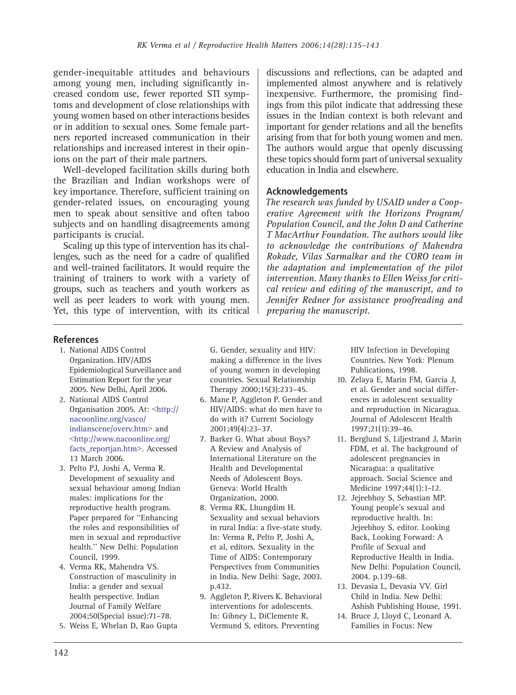<span id="page-7-0"></span>gender-inequitable attitudes and behaviours among young men, including significantly increased condom use, fewer reported STI symptoms and development of close relationships with young women based on other interactions besides or in addition to sexual ones. Some female partners reported increased communication in their relationships and increased interest in their opinions on the part of their male partners.

Well-developed facilitation skills during both the Brazilian and Indian workshops were of key importance. Therefore, sufficient training on gender-related issues, on encouraging young men to speak about sensitive and often taboo subjects and on handling disagreements among participants is crucial.

Scaling up this type of intervention has its challenges, such as the need for a cadre of qualified and well-trained facilitators. It would require the training of trainers to work with a variety of groups, such as teachers and youth workers as well as peer leaders to work with young men. Yet, this type of intervention, with its critical discussions and reflections, can be adapted and implemented almost anywhere and is relatively inexpensive. Furthermore, the promising findings from this pilot indicate that addressing these issues in the Indian context is both relevant and important for gender relations and all the benefits arising from that for both young women and men. The authors would argue that openly discussing these topics should form part of universal sexuality education in India and elsewhere.

#### Acknowledgements

The research was funded by USAID under a Cooperative Agreement with the Horizons Program/ Population Council, and the John D and Catherine T MacArthur Foundation. The authors would like to acknowledge the contributions of Mahendra Rokade, Vilas Sarmalkar and the CORO team in the adaptation and implementation of the pilot intervention. Many thanks to Ellen Weiss for critical review and editing of the manuscript, and to Jennifer Redner for assistance proofreading and preparing the manuscript.

### References

- 1. National AIDS Control Organization. HIV/AIDS Epidemiological Surveillance and Estimation Report for the year 2005. New Delhi, April 2006.
- 2. National AIDS Control Organisation 2005. At: <[http://](http://nacoonline.org/vasco/indianscene/overv.htm) [nacoonline.org/vasco/](http://nacoonline.org/vasco/indianscene/overv.htm) [indianscene/overv.htm](http://nacoonline.org/vasco/indianscene/overv.htm)> and b[http://www.nacoonline.org/](http://www.nacoonline.org/facts_reportjan.htm) [facts\\_reportjan.htm](http://www.nacoonline.org/facts_reportjan.htm)>. Accessed 13 March 2006.
- 3. Pelto PJ, Joshi A, Verma R. Development of sexuality and sexual behaviour among Indian males: implications for the reproductive health program. Paper prepared for ''Enhancing the roles and responsibilities of men in sexual and reproductive health." New Delhi: Population Council, 1999.
- 4. Verma RK, Mahendra VS. Construction of masculinity in India: a gender and sexual health perspective. Indian Journal of Family Welfare 2004;50(Special issue):71–78.
- 5. Weiss E, Whelan D, Rao Gupta

G. Gender, sexuality and HIV: making a difference in the lives of young women in developing countries. Sexual Relationship Therapy 2000;15(3):233–45.

- 6. Mane P, Aggleton P. Gender and HIV/AIDS: what do men have to do with it? Current Sociology 2001;49(4):23–37.
- 7. Barker G. What about Boys? A Review and Analysis of International Literature on the Health and Developmental Needs of Adolescent Boys. Geneva: World Health Organization, 2000.
- 8. Verma RK, Lhungdim H. Sexuality and sexual behaviors in rural India: a five-state study. In: Verma R, Pelto P, Joshi A, et al, editors. Sexuality in the Time of AIDS: Contemporary Perspectives from Communities in India. New Delhi: Sage, 2003. p.432.
- 9. Aggleton P, Rivers K. Behavioral interventions for adolescents. In: Gibney L, DiClemente R, Vermund S, editors. Preventing

HIV Infection in Developing Countries. New York: Plenum Publications, 1998.

- 10. Zelaya E, Marin FM, Garcia J, et al. Gender and social differences in adolescent sexuality and reproduction in Nicaragua. Journal of Adolescent Health 1997;21(1):39–46.
- 11. Berglund S, Liljestrand J, Marin FDM, et al. The background of adolescent pregnancies in Nicaragua: a qualitative approach. Social Science and Medicine 1997;44(1):1–12.
- 12. Jejeebhoy S, Sebastian MP. Young people's sexual and reproductive health. In: Jejeebhoy S, editor. Looking Back, Looking Forward: A Profile of Sexual and Reproductive Health in India. New Delhi: Population Council, 2004. p.139–68.
- 13. Devasia L, Devasia VV. Girl Child in India. New Delhi: Ashish Publishing House, 1991.
- 14. Bruce J, Lloyd C, Leonard A. Families in Focus: New